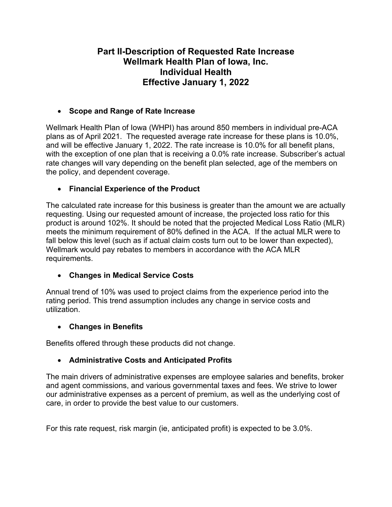# **Part II-Description of Requested Rate Increase Wellmark Health Plan of Iowa, Inc. Individual Health Effective January 1, 2022**

# **Scope and Range of Rate Increase**

Wellmark Health Plan of Iowa (WHPI) has around 850 members in individual pre-ACA plans as of April 2021. The requested average rate increase for these plans is 10.0%, and will be effective January 1, 2022. The rate increase is 10.0% for all benefit plans, with the exception of one plan that is receiving a 0.0% rate increase. Subscriber's actual rate changes will vary depending on the benefit plan selected, age of the members on the policy, and dependent coverage.

# **Financial Experience of the Product**

The calculated rate increase for this business is greater than the amount we are actually requesting. Using our requested amount of increase, the projected loss ratio for this product is around 102%. It should be noted that the projected Medical Loss Ratio (MLR) meets the minimum requirement of 80% defined in the ACA. If the actual MLR were to fall below this level (such as if actual claim costs turn out to be lower than expected), Wellmark would pay rebates to members in accordance with the ACA MLR requirements.

# **Changes in Medical Service Costs**

Annual trend of 10% was used to project claims from the experience period into the rating period. This trend assumption includes any change in service costs and utilization.

# **Changes in Benefits**

Benefits offered through these products did not change.

# **Administrative Costs and Anticipated Profits**

The main drivers of administrative expenses are employee salaries and benefits, broker and agent commissions, and various governmental taxes and fees. We strive to lower our administrative expenses as a percent of premium, as well as the underlying cost of care, in order to provide the best value to our customers.

For this rate request, risk margin (ie, anticipated profit) is expected to be 3.0%.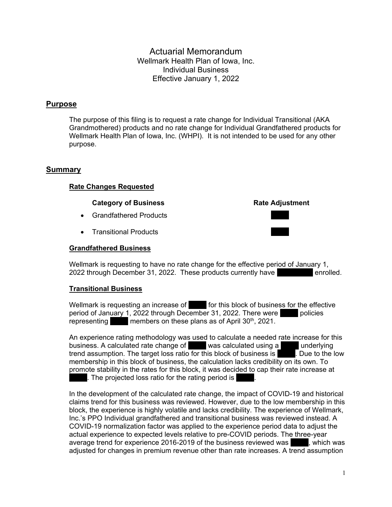Actuarial Memorandum Wellmark Health Plan of Iowa, Inc. Individual Business Effective January 1, 2022

### **Purpose**

The purpose of this filing is to request a rate change for Individual Transitional (AKA Grandmothered) products and no rate change for Individual Grandfathered products for Wellmark Health Plan of Iowa, Inc. (WHPI). It is not intended to be used for any other purpose.

#### **Summary**

#### **Rate Changes Requested**

#### **Category of Business Rate Adjustment**

- Grandfathered Products
- Transitional Products

#### **Grandfathered Business**



Wellmark is requesting to have no rate change for the effective period of January 1, 2022 through December 31, 2022. These products currently have **Example** 2022. Henrolled.

#### **Transitional Business**

Wellmark is requesting an increase of **Landsler** for this block of business for the effective period of January 1, 2022 through December 31, 2022. There were policies representing members on these plans as of April  $30<sup>th</sup>$ , 2021.

An experience rating methodology was used to calculate a needed rate increase for this business. A calculated rate change of **was calculated using a** underlying trend assumption. The target loss ratio for this block of business is **Example 10.** Due to the low membership in this block of business, the calculation lacks credibility on its own. To promote stability in the rates for this block, it was decided to cap their rate increase at . The projected loss ratio for the rating period is

In the development of the calculated rate change, the impact of COVID-19 and historical claims trend for this business was reviewed. However, due to the low membership in this block, the experience is highly volatile and lacks credibility. The experience of Wellmark, Inc.'s PPO Individual grandfathered and transitional business was reviewed instead. A COVID-19 normalization factor was applied to the experience period data to adjust the actual experience to expected levels relative to pre-COVID periods. The three-year average trend for experience 2016-2019 of the business reviewed was \_\_\_\_\_, which was adjusted for changes in premium revenue other than rate increases. A trend assumption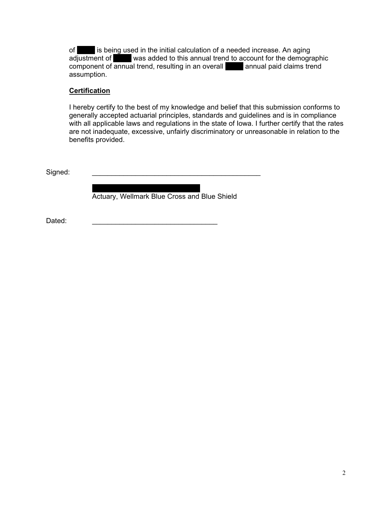of is being used in the initial calculation of a needed increase. An aging adjustment of was added to this annual trend to account for the demographic component of annual trend, resulting in an overall **inclusion annual paid claims trend** assumption.

### **Certification**

I hereby certify to the best of my knowledge and belief that this submission conforms to generally accepted actuarial principles, standards and guidelines and is in compliance with all applicable laws and regulations in the state of Iowa. I further certify that the rates are not inadequate, excessive, unfairly discriminatory or unreasonable in relation to the benefits provided.

Signed:

……..……..……..……..……..…….. Actuary, Wellmark Blue Cross and Blue Shield

Dated: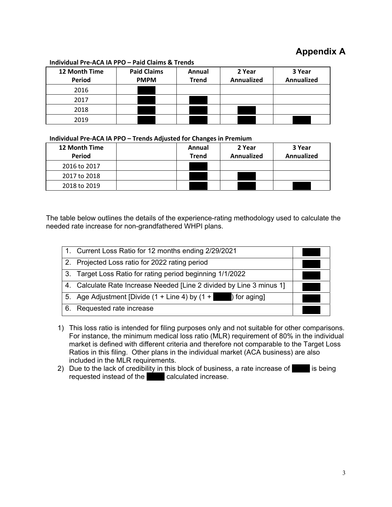# **Appendix A**

| 12 Month Time<br><b>Period</b> | <b>Paid Claims</b><br><b>PMPM</b> | Annual<br><b>Trend</b> | 2 Year<br><b>Annualized</b> | 3 Year<br>Annualized |
|--------------------------------|-----------------------------------|------------------------|-----------------------------|----------------------|
| 2016                           |                                   |                        |                             |                      |
| 2017                           |                                   |                        |                             |                      |
| 2018                           |                                   |                        |                             |                      |
| 2019                           |                                   |                        |                             |                      |

#### **Individual Pre‐ACA IA PPO – Paid Claims & Trends**

#### **Individual Pre‐ACA IA PPO – Trends Adjusted for Changes in Premium**

| 12 Month Time<br><b>Period</b> | Annual<br><b>Trend</b> | 2 Year<br>Annualized | 3 Year<br>Annualized |
|--------------------------------|------------------------|----------------------|----------------------|
| 2016 to 2017                   |                        |                      |                      |
| 2017 to 2018                   |                        |                      |                      |
| 2018 to 2019                   |                        |                      |                      |

The table below outlines the details of the experience-rating methodology used to calculate the needed rate increase for non-grandfathered WHPI plans.

| 1. Current Loss Ratio for 12 months ending 2/29/2021                 |  |  |
|----------------------------------------------------------------------|--|--|
| 2. Projected Loss ratio for 2022 rating period                       |  |  |
| 3. Target Loss Ratio for rating period beginning 1/1/2022            |  |  |
| 4. Calculate Rate Increase Needed [Line 2 divided by Line 3 minus 1] |  |  |
| 5. Age Adjustment [Divide $(1 + Line 4)$ by $(1 + 1)$ for aging]     |  |  |
| 6. Requested rate increase                                           |  |  |

- 1) This loss ratio is intended for filing purposes only and not suitable for other comparisons. For instance, the minimum medical loss ratio (MLR) requirement of 80% in the individual market is defined with different criteria and therefore not comparable to the Target Loss Ratios in this filing. Other plans in the individual market (ACA business) are also included in the MLR requirements.
- 2) Due to the lack of credibility in this block of business, a rate increase of is being requested instead of the **interpretate** calculated increase.